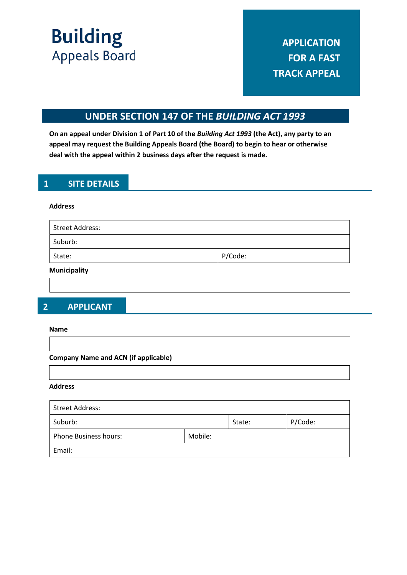**Building Appeals Board** 

## **UNDER SECTION 147 OF THE** *BUILDING ACT 1993*

**On an appeal under Division 1 of Part 10 of the** *Building Act 1993* **(the Act), any party to an appeal may request the Building Appeals Board (the Board) to begin to hear or otherwise deal with the appeal within 2 business days after the request is made.**

## **1 SITE DETAILS**

#### **Address**

| <b>Street Address:</b> |         |
|------------------------|---------|
| Suburb:                |         |
| State:                 | P/Code: |
| <b>Municipality</b>    |         |

## **2 APPLICANT**

#### **Name**

**Company Name and ACN (if applicable)**

#### **Address**

| Street Address:              |         |        |         |
|------------------------------|---------|--------|---------|
| Suburb:                      |         | State: | P/Code: |
| <b>Phone Business hours:</b> | Mobile: |        |         |
| Email:                       |         |        |         |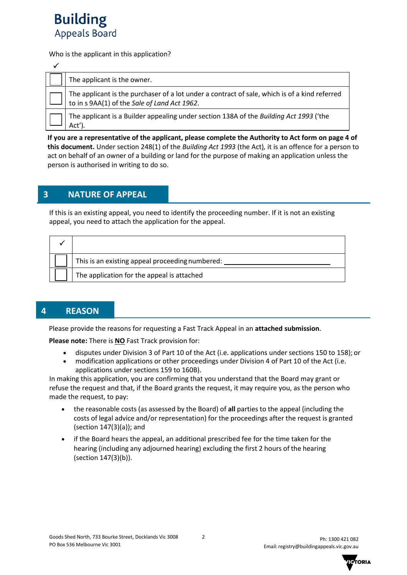

Who is the applicant in this application?

| The applicant is the owner.                                                                                                                   |
|-----------------------------------------------------------------------------------------------------------------------------------------------|
| The applicant is the purchaser of a lot under a contract of sale, which is of a kind referred<br>to in s 9AA(1) of the Sale of Land Act 1962. |
| The applicant is a Builder appealing under section 138A of the Building Act 1993 ('the<br>Act')                                               |

**If you are a representative of the applicant, please complete the Authority to Act form on page 4 of this document.** Under section 248(1) of the *Building Act 1993* (the Act)*,* it is an offence for a person to act on behalf of an owner of a building or land for the purpose of making an application unless the person is authorised in writing to do so.

## **3 NATURE OF APPEAL**

If this is an existing appeal, you need to identify the proceeding number. If it is not an existing appeal, you need to attach the application for the appeal.

| This is an existing appeal proceeding numbered: |
|-------------------------------------------------|
| The application for the appeal is attached      |

## **4 REASON**

Please provide the reasons for requesting a Fast Track Appeal in an **attached submission**.

**Please note:** There is **NO** Fast Track provision for:

- disputes under Division 3 of Part 10 of the Act (i.e. applications under sections 150 to 158); or
- modification applications or other proceedings under Division 4 of Part 10 of the Act (i.e. applications under sections 159 to 160B).

In making this application, you are confirming that you understand that the Board may grant or refuse the request and that, if the Board grants the request, it may require you, as the person who made the request, to pay:

- the reasonable costs (as assessed by the Board) of **all** parties to the appeal (including the costs of legal advice and/or representation) for the proceedings after the request is granted (section 147(3)(a)); and
- if the Board hears the appeal, an additional prescribed fee for the time taken for the hearing (including any adjourned hearing) excluding the first 2 hours of the hearing (section 147(3)(b)).

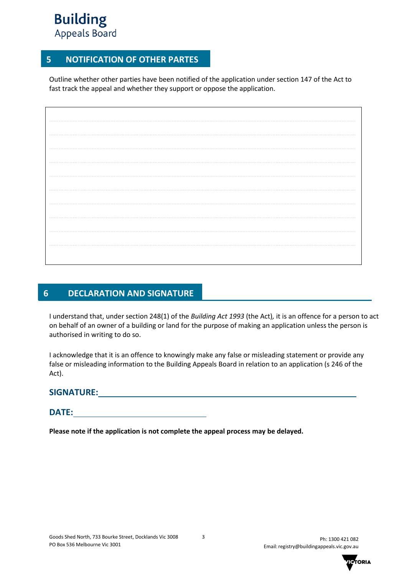# **Building Appeals Board**

## **5 NOTIFICATION OF OTHER PARTES**

Outline whether other parties have been notified of the application under section 147 of the Act to fast track the appeal and whether they support or oppose the application.

## **6 DECLARATION AND SIGNATURE**

I understand that, under section 248(1) of the *Building Act 1993* (the Act)*,* it is an offence for a person to act on behalf of an owner of a building or land for the purpose of making an application unless the person is authorised in writing to do so.

I acknowledge that it is an offence to knowingly make any false or misleading statement or provide any false or misleading information to the Building Appeals Board in relation to an application (s 246 of the Act).

### **SIGNATURE:**

## **DATE:**

**Please note if the application is not complete the appeal process may be delayed.**

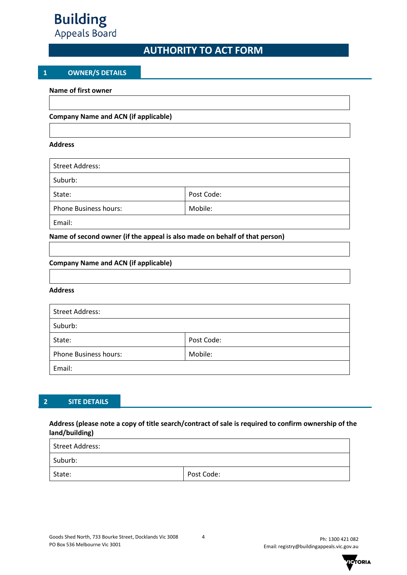

## **AUTHORITY TO ACT FORM**

#### **1 OWNER/S DETAILS**

**Name of first owner**

#### **Company Name and ACN (if applicable)**

#### **Address**

| <b>Street Address:</b>       |            |
|------------------------------|------------|
| Suburb:                      |            |
| State:                       | Post Code: |
| <b>Phone Business hours:</b> | Mobile:    |
| Email:                       |            |

#### **Name of second owner (if the appeal is also made on behalf of that person)**

#### **Company Name and ACN (if applicable)**

#### **Address**

| <b>Street Address:</b>       |            |  |
|------------------------------|------------|--|
| Suburb:                      |            |  |
| State:                       | Post Code: |  |
| <b>Phone Business hours:</b> | Mobile:    |  |
| Email:                       |            |  |

#### **2 SITE DETAILS**

#### **Address (please note a copy of title search/contract of sale is required to confirm ownership of the land/building)**

| Street Address: |            |
|-----------------|------------|
| Suburb:         |            |
| State:          | Post Code: |

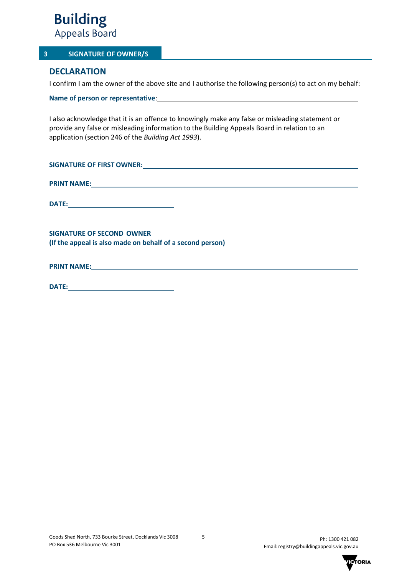

#### **3 SIGNATURE OF OWNER/S**

## **DECLARATION**

I confirm I am the owner of the above site and I authorise the following person(s) to act on my behalf:

**Name of person or representative**:

I also acknowledge that it is an offence to knowingly make any false or misleading statement or provide any false or misleading information to the Building Appeals Board in relation to an application (section 246 of the *Building Act 1993*).

| PRINT NAME: University of the contract of the contract of the contract of the contract of the contract of the contract of the contract of the contract of the contract of the contract of the contract of the contract of the |  |
|-------------------------------------------------------------------------------------------------------------------------------------------------------------------------------------------------------------------------------|--|
| <b>DATE:</b>                                                                                                                                                                                                                  |  |
|                                                                                                                                                                                                                               |  |
|                                                                                                                                                                                                                               |  |
| (If the appeal is also made on behalf of a second person)                                                                                                                                                                     |  |
|                                                                                                                                                                                                                               |  |
|                                                                                                                                                                                                                               |  |

**DATE:**